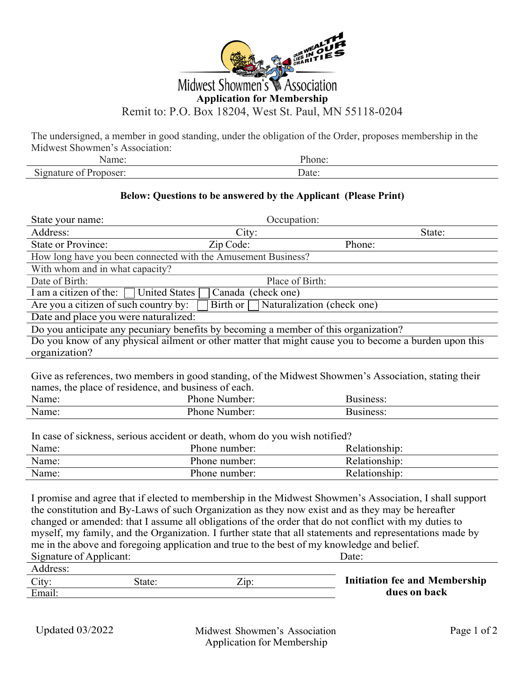

The undersigned, a member in good standing, under the obligation of the Order, proposes membership in the Midwest Showmen's Association:

## **Below: Questions to be answered by the Applicant (Please Print)**

| State your name:                                                                                                                                                                                     | Occupation:                    |                                                                                                                                                                                                                                                                                                                                                                                                                                           |  |  |
|------------------------------------------------------------------------------------------------------------------------------------------------------------------------------------------------------|--------------------------------|-------------------------------------------------------------------------------------------------------------------------------------------------------------------------------------------------------------------------------------------------------------------------------------------------------------------------------------------------------------------------------------------------------------------------------------------|--|--|
| Address:                                                                                                                                                                                             | City:                          | State:                                                                                                                                                                                                                                                                                                                                                                                                                                    |  |  |
| <b>State or Province:</b>                                                                                                                                                                            | Zip Code:                      | Phone:                                                                                                                                                                                                                                                                                                                                                                                                                                    |  |  |
| How long have you been connected with the Amusement Business?                                                                                                                                        |                                |                                                                                                                                                                                                                                                                                                                                                                                                                                           |  |  |
| With whom and in what capacity?                                                                                                                                                                      |                                |                                                                                                                                                                                                                                                                                                                                                                                                                                           |  |  |
| Date of Birth:                                                                                                                                                                                       | Place of Birth:                |                                                                                                                                                                                                                                                                                                                                                                                                                                           |  |  |
| I am a citizen of the:<br><b>United States</b>                                                                                                                                                       | Canada (check one)             |                                                                                                                                                                                                                                                                                                                                                                                                                                           |  |  |
| Are you a citizen of such country by:                                                                                                                                                                | Birth or                       | Naturalization (check one)                                                                                                                                                                                                                                                                                                                                                                                                                |  |  |
| Date and place you were naturalized:                                                                                                                                                                 |                                |                                                                                                                                                                                                                                                                                                                                                                                                                                           |  |  |
| Do you anticipate any pecuniary benefits by becoming a member of this organization?                                                                                                                  |                                |                                                                                                                                                                                                                                                                                                                                                                                                                                           |  |  |
|                                                                                                                                                                                                      |                                | Do you know of any physical ailment or other matter that might cause you to become a burden upon this                                                                                                                                                                                                                                                                                                                                     |  |  |
| organization?                                                                                                                                                                                        |                                |                                                                                                                                                                                                                                                                                                                                                                                                                                           |  |  |
| Give as references, two members in good standing, of the Midwest Showmen's Association, stating their<br>names, the place of residence, and business of each.<br>Name:<br>Phone Number:<br>Business: |                                |                                                                                                                                                                                                                                                                                                                                                                                                                                           |  |  |
| Name:                                                                                                                                                                                                | Phone Number:                  | <b>Business:</b>                                                                                                                                                                                                                                                                                                                                                                                                                          |  |  |
|                                                                                                                                                                                                      |                                |                                                                                                                                                                                                                                                                                                                                                                                                                                           |  |  |
| In case of sickness, serious accident or death, whom do you wish notified?                                                                                                                           |                                |                                                                                                                                                                                                                                                                                                                                                                                                                                           |  |  |
| Name:                                                                                                                                                                                                | Phone number:<br>Relationship: |                                                                                                                                                                                                                                                                                                                                                                                                                                           |  |  |
| Name:                                                                                                                                                                                                | Phone number:                  | Relationship:                                                                                                                                                                                                                                                                                                                                                                                                                             |  |  |
| Name:                                                                                                                                                                                                | Phone number:                  | Relationship:                                                                                                                                                                                                                                                                                                                                                                                                                             |  |  |
| me in the above and foregoing application and true to the best of my knowledge and belief.<br>Signature of Applicant:<br>Address:                                                                    |                                | I promise and agree that if elected to membership in the Midwest Showmen's Association, I shall support<br>the constitution and By-Laws of such Organization as they now exist and as they may be hereafter<br>changed or amended: that I assume all obligations of the order that do not conflict with my duties to<br>myself, my family, and the Organization. I further state that all statements and representations made by<br>Date: |  |  |

| state<br>Z1D | <b>Initiation fee and Membership</b> |
|--------------|--------------------------------------|
|              | dues on back                         |
|              |                                      |